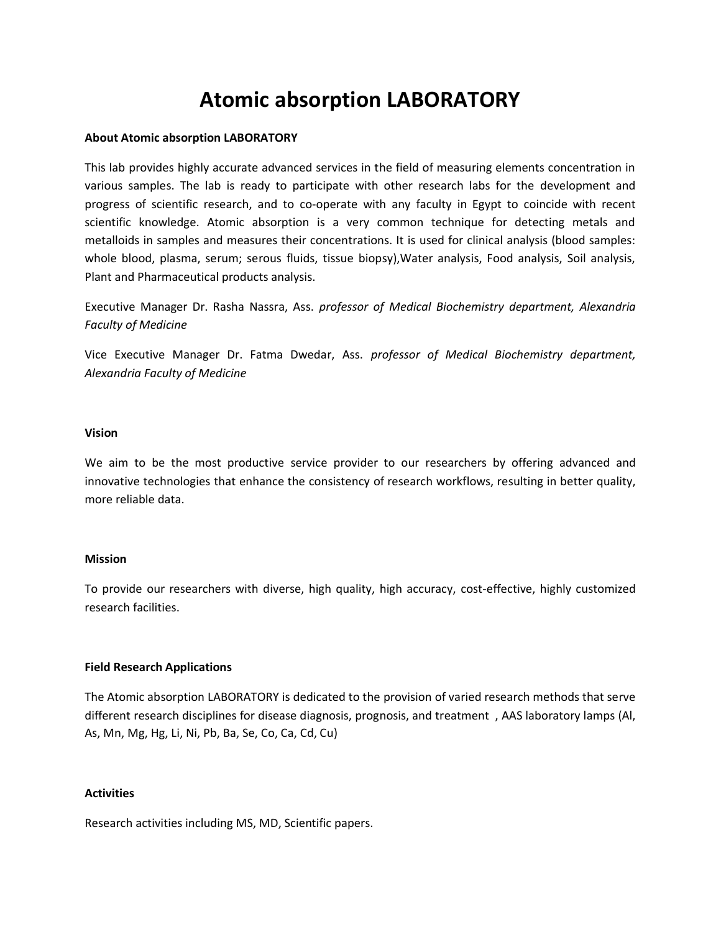# **Atomic absorption LABORATORY**

## **About Atomic absorption LABORATORY**

This lab provides highly accurate advanced services in the field of measuring elements concentration in various samples. The lab is ready to participate with other research labs for the development and progress of scientific research, and to co-operate with any faculty in Egypt to coincide with recent scientific knowledge. Atomic absorption is a very common technique for detecting metals and metalloids in samples and measures their concentrations. It is used for clinical analysis (blood samples: whole blood, plasma, serum; serous fluids, tissue biopsy),Water analysis, Food analysis, Soil analysis, Plant and Pharmaceutical products analysis.

Executive Manager Dr. Rasha Nassra, Ass. *professor of Medical Biochemistry department, Alexandria Faculty of Medicine*

Vice Executive Manager Dr. Fatma Dwedar, Ass. *professor of Medical Biochemistry department, Alexandria Faculty of Medicine*

#### **Vision**

We aim to be the most productive service provider to our researchers by offering advanced and innovative technologies that enhance the consistency of research workflows, resulting in better quality, more reliable data.

## **Mission**

To provide our researchers with diverse, high quality, high accuracy, cost-effective, highly customized research facilities.

## **Field Research Applications**

The Atomic absorption LABORATORY is dedicated to the provision of varied research methods that serve different research disciplines for disease diagnosis, prognosis, and treatment , AAS laboratory lamps (Al, As, Mn, Mg, Hg, Li, Ni, Pb, Ba, Se, Co, Ca, Cd, Cu)

## **Activities**

Research activities including MS, MD, Scientific papers.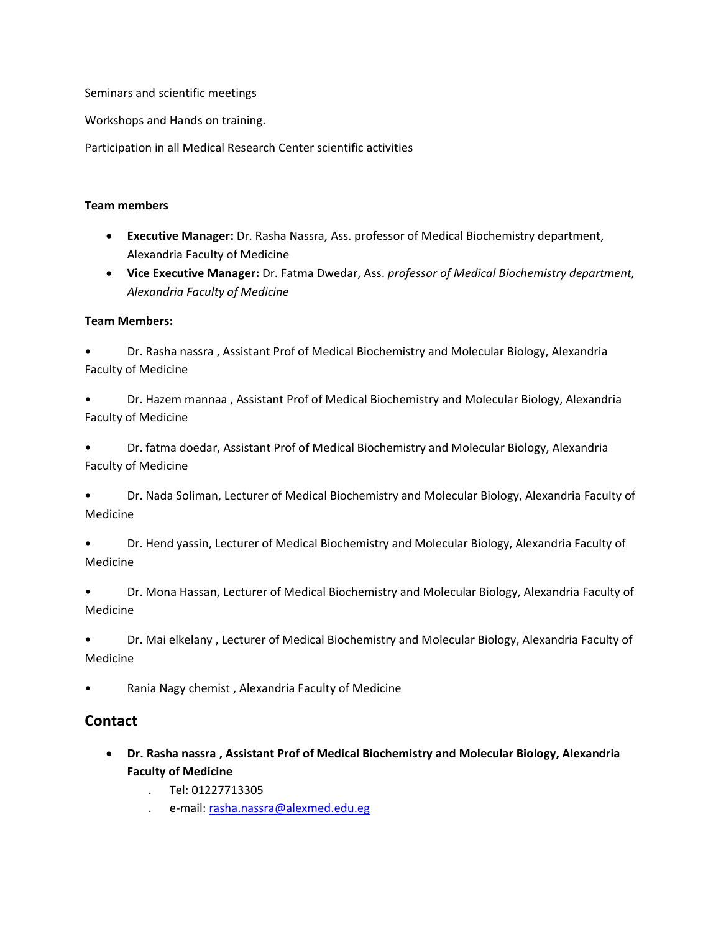Seminars and scientific meetings

Workshops and Hands on training.

Participation in all Medical Research Center scientific activities

## **Team members**

- **Executive Manager:** Dr. Rasha Nassra, Ass. professor of Medical Biochemistry department, Alexandria Faculty of Medicine
- **Vice Executive Manager:** Dr. Fatma Dwedar, Ass. *professor of Medical Biochemistry department, Alexandria Faculty of Medicine*

## **Team Members:**

- Dr. Rasha nassra , Assistant Prof of Medical Biochemistry and Molecular Biology, Alexandria Faculty of Medicine
- Dr. Hazem mannaa , Assistant Prof of Medical Biochemistry and Molecular Biology, Alexandria Faculty of Medicine
- Dr. fatma doedar, Assistant Prof of Medical Biochemistry and Molecular Biology, Alexandria Faculty of Medicine
- Dr. Nada Soliman, Lecturer of Medical Biochemistry and Molecular Biology, Alexandria Faculty of Medicine
- Dr. Hend yassin, Lecturer of Medical Biochemistry and Molecular Biology, Alexandria Faculty of Medicine
- Dr. Mona Hassan, Lecturer of Medical Biochemistry and Molecular Biology, Alexandria Faculty of Medicine
- Dr. Mai elkelany , Lecturer of Medical Biochemistry and Molecular Biology, Alexandria Faculty of Medicine
- Rania Nagy chemist , Alexandria Faculty of Medicine

# **Contact**

- **Dr. Rasha nassra , Assistant Prof of Medical Biochemistry and Molecular Biology, Alexandria Faculty of Medicine**
	- . Tel: 01227713305
	- . e-mail[: rasha.nassra@alexmed.edu.eg](mailto:rasha.nassra@alexmed.edu.eg)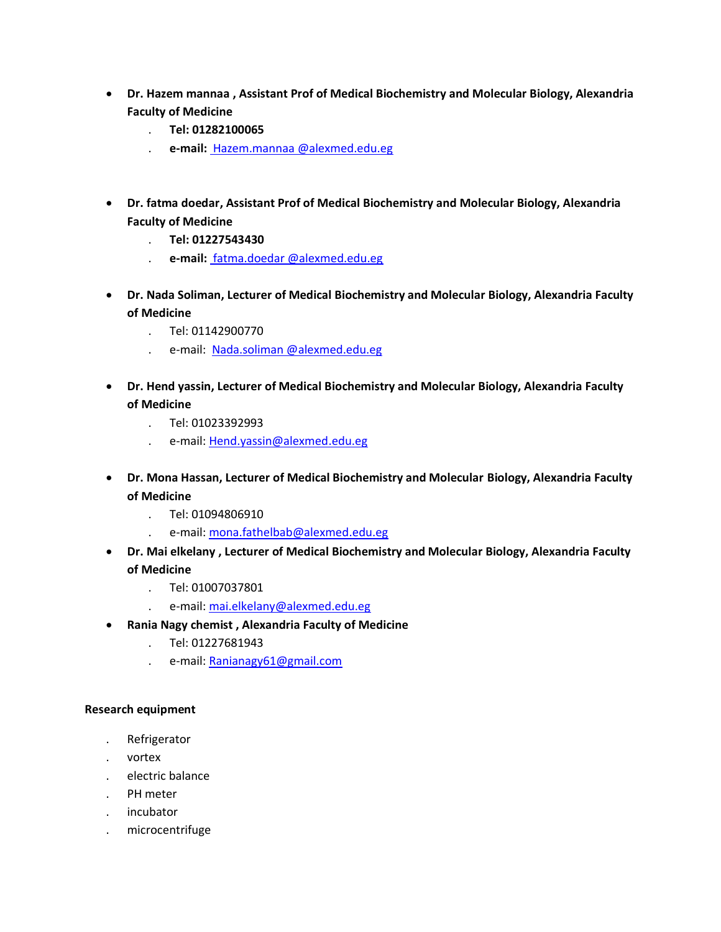- **Dr. Hazem mannaa , Assistant Prof of Medical Biochemistry and Molecular Biology, Alexandria Faculty of Medicine**
	- . **Tel: 01282100065**
	- . **e-mail:** [Hazem.mannaa @alexmed.edu.eg](mailto:rasha.nassra@alexmed.edu.eg)
- **Dr. fatma doedar, Assistant Prof of Medical Biochemistry and Molecular Biology, Alexandria Faculty of Medicine**
	- . **Tel: 01227543430**
	- . **e-mail:** [fatma.doedar @alexmed.edu.eg](mailto:rasha.nassra@alexmed.edu.eg)
- **Dr. Nada Soliman, Lecturer of Medical Biochemistry and Molecular Biology, Alexandria Faculty of Medicine** 
	- . Tel: 01142900770
	- . e-mail[: Nada.soliman @alexmed.edu.eg](mailto:Hend.yassin@alexmed.edu.eg)
- **Dr. Hend yassin, Lecturer of Medical Biochemistry and Molecular Biology, Alexandria Faculty of Medicine** 
	- . Tel: 01023392993
	- . e-mail[: Hend.yassin@alexmed.edu.eg](mailto:Hend.yassin@alexmed.edu.eg)
- **Dr. Mona Hassan, Lecturer of Medical Biochemistry and Molecular Biology, Alexandria Faculty of Medicine**
	- . Tel: 01094806910
	- . e-mail[: mona.fathelbab@alexmed.edu.eg](mailto:mona.fathelbab@alexmed.edu.eg)
- **Dr. Mai elkelany , Lecturer of Medical Biochemistry and Molecular Biology, Alexandria Faculty of Medicine**
	- . Tel: 01007037801
	- . e-mail[: mai.elkelany@alexmed.edu.eg](mailto:mai.elkelany@alexmed.edu.eg)
- **Rania Nagy chemist , Alexandria Faculty of Medicine**
	- . Tel: 01227681943
	- . e-mail[: Ranianagy61@gmail.com](mailto:Ranianagy61@gmail.com)

## **Research equipment**

- . Refrigerator
- . vortex
- . electric balance
- . PH meter
- . incubator
- . microcentrifuge